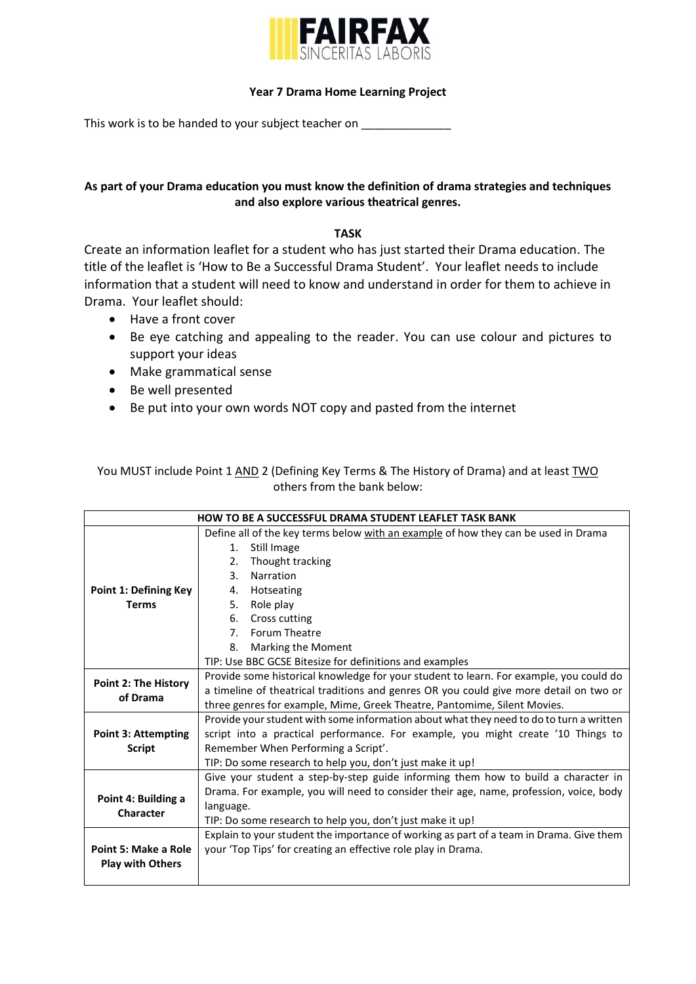

## **Year 7 Drama Home Learning Project**

This work is to be handed to your subject teacher on

## **As part of your Drama education you must know the definition of drama strategies and techniques and also explore various theatrical genres.**

## **TASK**

Create an information leaflet for a student who has just started their Drama education. The title of the leaflet is 'How to Be a Successful Drama Student'. Your leaflet needs to include information that a student will need to know and understand in order for them to achieve in Drama. Your leaflet should:

- Have a front cover
- Be eye catching and appealing to the reader. You can use colour and pictures to support your ideas
- Make grammatical sense
- Be well presented
- Be put into your own words NOT copy and pasted from the internet

You MUST include Point 1 AND 2 (Defining Key Terms & The History of Drama) and at least TWO others from the bank below:

| <b>HOW TO BE A SUCCESSFUL DRAMA STUDENT LEAFLET TASK BANK</b> |                                                                                         |  |  |
|---------------------------------------------------------------|-----------------------------------------------------------------------------------------|--|--|
|                                                               | Define all of the key terms below with an example of how they can be used in Drama      |  |  |
|                                                               | Still Image<br>1.                                                                       |  |  |
|                                                               | Thought tracking<br>2.                                                                  |  |  |
|                                                               | $3_{-}$<br>Narration                                                                    |  |  |
| <b>Point 1: Defining Key</b>                                  | Hotseating<br>4.                                                                        |  |  |
| <b>Terms</b>                                                  | Role play<br>5.                                                                         |  |  |
|                                                               | 6.<br>Cross cutting                                                                     |  |  |
|                                                               | Forum Theatre<br>7.                                                                     |  |  |
|                                                               | Marking the Moment<br>8.                                                                |  |  |
|                                                               | TIP: Use BBC GCSE Bitesize for definitions and examples                                 |  |  |
| <b>Point 2: The History</b><br>of Drama                       | Provide some historical knowledge for your student to learn. For example, you could do  |  |  |
|                                                               | a timeline of theatrical traditions and genres OR you could give more detail on two or  |  |  |
|                                                               | three genres for example, Mime, Greek Theatre, Pantomime, Silent Movies.                |  |  |
|                                                               | Provide your student with some information about what they need to do to turn a written |  |  |
| <b>Point 3: Attempting</b>                                    | script into a practical performance. For example, you might create '10 Things to        |  |  |
| <b>Script</b>                                                 | Remember When Performing a Script'.                                                     |  |  |
|                                                               | TIP: Do some research to help you, don't just make it up!                               |  |  |
|                                                               | Give your student a step-by-step guide informing them how to build a character in       |  |  |
| Point 4: Building a<br>Character                              | Drama. For example, you will need to consider their age, name, profession, voice, body  |  |  |
|                                                               | language.                                                                               |  |  |
|                                                               | TIP: Do some research to help you, don't just make it up!                               |  |  |
|                                                               | Explain to your student the importance of working as part of a team in Drama. Give them |  |  |
| Point 5: Make a Role                                          | your 'Top Tips' for creating an effective role play in Drama.                           |  |  |
| <b>Play with Others</b>                                       |                                                                                         |  |  |
|                                                               |                                                                                         |  |  |